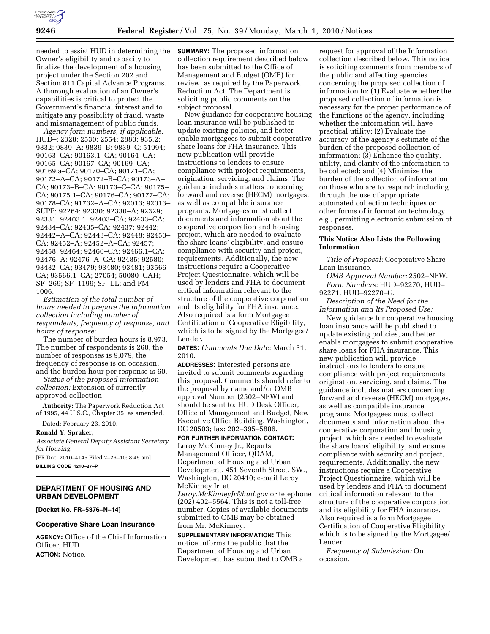

needed to assist HUD in determining the Owner's eligibility and capacity to finalize the development of a housing project under the Section 202 and Section 811 Capital Advance Programs. A thorough evaluation of an Owner's capabilities is critical to protect the Government's financial interest and to mitigate any possibility of fraud, waste and mismanagement of public funds.

*Agency form numbers, if applicable:*  HUD–: 2328; 2530; 2554; 2880; 935.2; 9832; 9839–A; 9839–B; 9839–C; 51994; 90163–CA; 90163.1–CA; 90164–CA; 90165–CA; 90167–CA; 90169–CA; 90169.a–CA; 90170–CA; 90171–CA; 90172–A–CA; 90172–B–CA; 90173–A– CA; 90173–B–CA; 90173–C–CA; 90175– CA; 90175.1–CA; 90176–CA; 90177–CA; 90178–CA; 91732–A–CA; 92013; 92013– SUPP; 92264; 92330; 92330–A; 92329; 92331; 92403.1; 92403–CA; 92433–CA; 92434–CA; 92435–CA; 92437; 92442; 92442–A–CA; 92443–CA; 92448; 92450– CA; 92452–A; 92452–A–CA; 92457; 92458; 92464; 92466–CA; 92466.1–CA; 92476–A; 92476–A–CA; 92485; 92580; 93432–CA; 93479; 93480; 93481; 93566– CA; 93566.1–CA; 27054; 50080–CAH; SF–269; SF–1199; SF–LL; and FM– 1006.

*Estimation of the total number of hours needed to prepare the information collection including number of respondents, frequency of response, and hours of response:* 

The number of burden hours is 8,973. The number of respondents is 260, the number of responses is 9,079, the frequency of response is on occasion, and the burden hour per response is 60.

*Status of the proposed information collection:* Extension of currently approved collection

**Authority:** The Paperwork Reduction Act of 1995, 44 U.S.C., Chapter 35, as amended.

Dated: February 23, 2010.

**Ronald Y. Spraker,** 

*Associate General Deputy Assistant Secretary for Housing.*  [FR Doc. 2010–4145 Filed 2–26–10; 8:45 am]

**BILLING CODE 4210–27–P** 

### **DEPARTMENT OF HOUSING AND URBAN DEVELOPMENT**

**[Docket No. FR–5376–N–14]** 

# **Cooperative Share Loan Insurance**

**AGENCY:** Office of the Chief Information Officer, HUD. **ACTION:** Notice.

**SUMMARY:** The proposed information collection requirement described below has been submitted to the Office of Management and Budget (OMB) for review, as required by the Paperwork Reduction Act. The Department is soliciting public comments on the subject proposal.

New guidance for cooperative housing loan insurance will be published to update existing policies, and better enable mortgagees to submit cooperative share loans for FHA insurance. This new publication will provide instructions to lenders to ensure compliance with project requirements, origination, servicing, and claims. The guidance includes matters concerning forward and reverse (HECM) mortgages, as well as compatible insurance programs. Mortgagees must collect documents and information about the cooperative corporation and housing project, which are needed to evaluate the share loans' eligibility, and ensure compliance with security and project, requirements. Additionally, the new instructions require a Cooperative Project Questionnaire, which will be used by lenders and FHA to document critical information relevant to the structure of the cooperative corporation and its eligibility for FHA insurance. Also required is a form Mortgagee Certification of Cooperative Eligibility, which is to be signed by the Mortgagee/ Lender.

**DATES:** *Comments Due Date:* March 31, 2010.

**ADDRESSES:** Interested persons are invited to submit comments regarding this proposal. Comments should refer to the proposal by name and/or OMB approval Number (2502–NEW) and should be sent to: HUD Desk Officer, Office of Management and Budget, New Executive Office Building, Washington, DC 20503; fax: 202–395–5806.

### **FOR FURTHER INFORMATION CONTACT:**

Leroy McKinney Jr., Reports Management Officer, QDAM, Department of Housing and Urban Development, 451 Seventh Street, SW., Washington, DC 20410; e-mail Leroy McKinney Jr. at

*Leroy.McKinneyJr@hud.gov* or telephone (202) 402–5564. This is not a toll-free number. Copies of available documents submitted to OMB may be obtained from Mr. McKinney.

**SUPPLEMENTARY INFORMATION:** This notice informs the public that the Department of Housing and Urban Development has submitted to OMB a

request for approval of the Information collection described below. This notice is soliciting comments from members of the public and affecting agencies concerning the proposed collection of information to: (1) Evaluate whether the proposed collection of information is necessary for the proper performance of the functions of the agency, including whether the information will have practical utility; (2) Evaluate the accuracy of the agency's estimate of the burden of the proposed collection of information; (3) Enhance the quality, utility, and clarity of the information to be collected; and (4) Minimize the burden of the collection of information on those who are to respond; including through the use of appropriate automated collection techniques or other forms of information technology, e.g., permitting electronic submission of responses.

### **This Notice Also Lists the Following Information**

*Title of Proposal:* Cooperative Share Loan Insurance.

*OMB Approval Number:* 2502–NEW. *Form Numbers:* HUD–92270, HUD– 92271, HUD–92270–G.

*Description of the Need for the Information and Its Proposed Use:* 

New guidance for cooperative housing loan insurance will be published to update existing policies, and better enable mortgagees to submit cooperative share loans for FHA insurance. This new publication will provide instructions to lenders to ensure compliance with project requirements, origination, servicing, and claims. The guidance includes matters concerning forward and reverse (HECM) mortgages, as well as compatible insurance programs. Mortgagees must collect documents and information about the cooperative corporation and housing project, which are needed to evaluate the share loans' eligibility, and ensure compliance with security and project, requirements. Additionally, the new instructions require a Cooperative Project Questionnaire, which will be used by lenders and FHA to document critical information relevant to the structure of the cooperative corporation and its eligibility for FHA insurance. Also required is a form Mortgagee Certification of Cooperative Eligibility, which is to be signed by the Mortgagee/ Lender.

*Frequency of Submission:* On occasion.